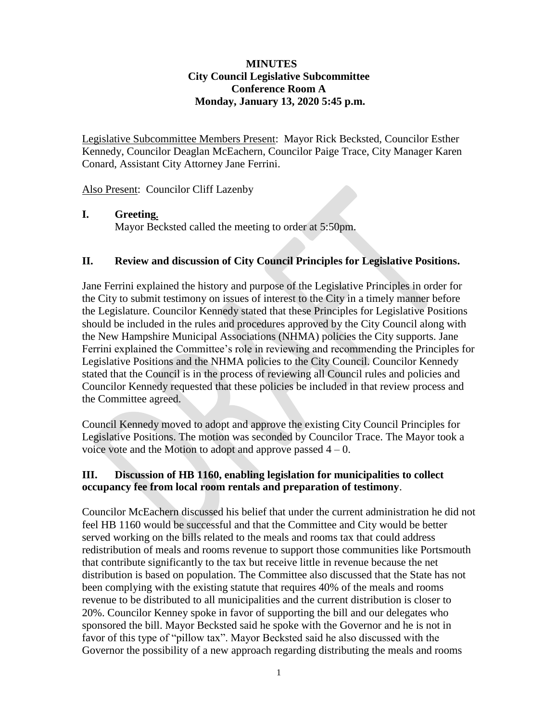### **MINUTES City Council Legislative Subcommittee Conference Room A Monday, January 13, 2020 5:45 p.m.**

Legislative Subcommittee Members Present: Mayor Rick Becksted, Councilor Esther Kennedy, Councilor Deaglan McEachern, Councilor Paige Trace, City Manager Karen Conard, Assistant City Attorney Jane Ferrini.

Also Present: Councilor Cliff Lazenby

### **I. Greeting.**

Mayor Becksted called the meeting to order at 5:50pm.

### **II. Review and discussion of City Council Principles for Legislative Positions.**

Jane Ferrini explained the history and purpose of the Legislative Principles in order for the City to submit testimony on issues of interest to the City in a timely manner before the Legislature. Councilor Kennedy stated that these Principles for Legislative Positions should be included in the rules and procedures approved by the City Council along with the New Hampshire Municipal Associations (NHMA) policies the City supports. Jane Ferrini explained the Committee's role in reviewing and recommending the Principles for Legislative Positions and the NHMA policies to the City Council. Councilor Kennedy stated that the Council is in the process of reviewing all Council rules and policies and Councilor Kennedy requested that these policies be included in that review process and the Committee agreed.

Council Kennedy moved to adopt and approve the existing City Council Principles for Legislative Positions. The motion was seconded by Councilor Trace. The Mayor took a voice vote and the Motion to adopt and approve passed  $4 - 0$ .

### **III. Discussion of HB 1160, enabling legislation for municipalities to collect occupancy fee from local room rentals and preparation of testimony**.

Councilor McEachern discussed his belief that under the current administration he did not feel HB 1160 would be successful and that the Committee and City would be better served working on the bills related to the meals and rooms tax that could address redistribution of meals and rooms revenue to support those communities like Portsmouth that contribute significantly to the tax but receive little in revenue because the net distribution is based on population. The Committee also discussed that the State has not been complying with the existing statute that requires 40% of the meals and rooms revenue to be distributed to all municipalities and the current distribution is closer to 20%. Councilor Kenney spoke in favor of supporting the bill and our delegates who sponsored the bill. Mayor Becksted said he spoke with the Governor and he is not in favor of this type of "pillow tax". Mayor Becksted said he also discussed with the Governor the possibility of a new approach regarding distributing the meals and rooms